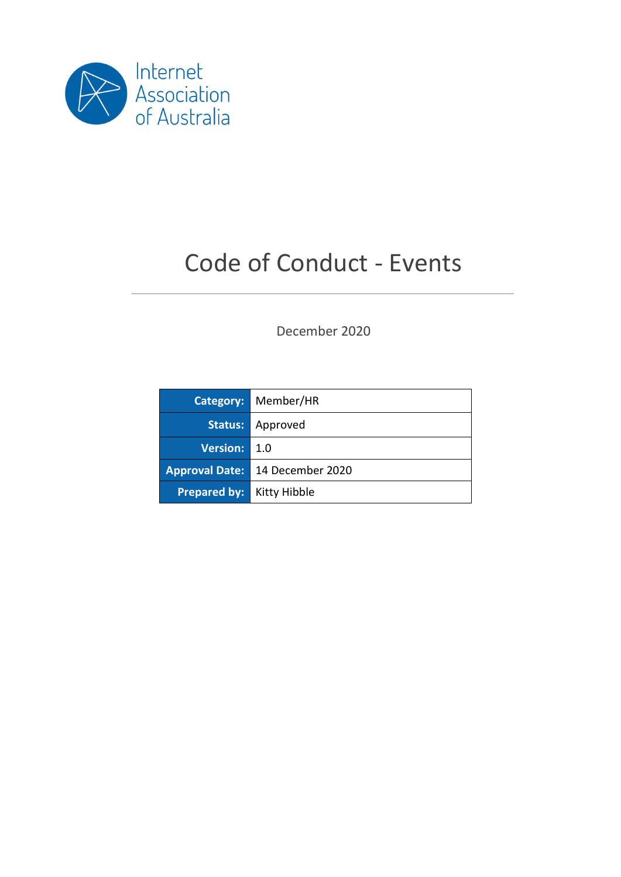

# Code of Conduct - Events

December 2020

|                                  | <b>Category: Member/HR</b>      |
|----------------------------------|---------------------------------|
|                                  | <b>Status:</b> Approved         |
| Version: 1.0                     |                                 |
|                                  | Approval Date: 14 December 2020 |
| <b>Prepared by:</b> Kitty Hibble |                                 |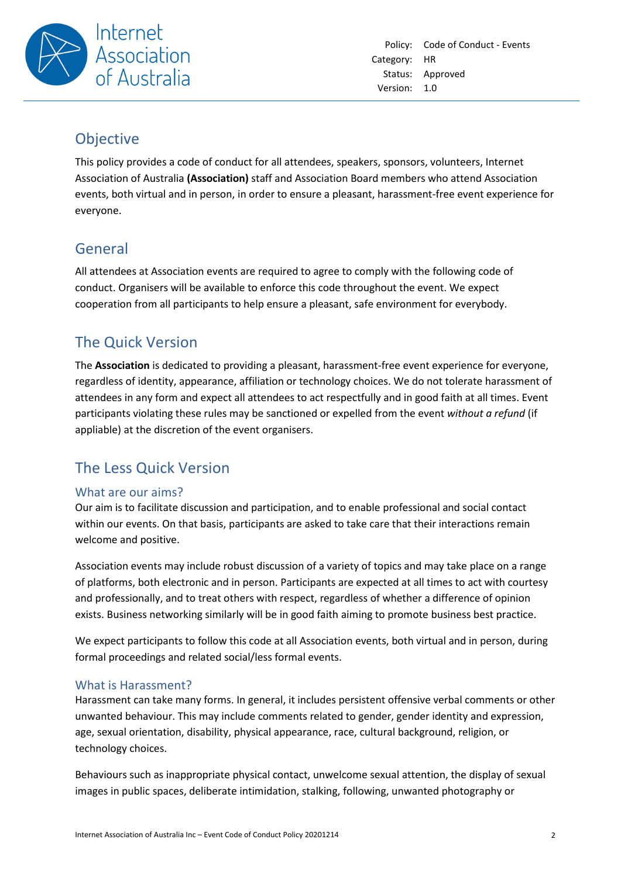

### Objective

This policy provides a code of conduct for all attendees, speakers, sponsors, volunteers, Internet Association of Australia **(Association)** staff and Association Board members who attend Association events, both virtual and in person, in order to ensure a pleasant, harassment-free event experience for everyone.

## General

All attendees at Association events are required to agree to comply with the following code of conduct. Organisers will be available to enforce this code throughout the event. We expect cooperation from all participants to help ensure a pleasant, safe environment for everybody.

## The Quick Version

The **Association** is dedicated to providing a pleasant, harassment-free event experience for everyone, regardless of identity, appearance, affiliation or technology choices. We do not tolerate harassment of attendees in any form and expect all attendees to act respectfully and in good faith at all times. Event participants violating these rules may be sanctioned or expelled from the event *without a refund* (if appliable) at the discretion of the event organisers.

## The Less Quick Version

#### What are our aims?

Our aim is to facilitate discussion and participation, and to enable professional and social contact within our events. On that basis, participants are asked to take care that their interactions remain welcome and positive.

Association events may include robust discussion of a variety of topics and may take place on a range of platforms, both electronic and in person. Participants are expected at all times to act with courtesy and professionally, and to treat others with respect, regardless of whether a difference of opinion exists. Business networking similarly will be in good faith aiming to promote business best practice.

We expect participants to follow this code at all Association events, both virtual and in person, during formal proceedings and related social/less formal events.

#### What is Harassment?

Harassment can take many forms. In general, it includes persistent offensive verbal comments or other unwanted behaviour. This may include comments related to gender, gender identity and expression, age, sexual orientation, disability, physical appearance, race, cultural background, religion, or technology choices.

Behaviours such as inappropriate physical contact, unwelcome sexual attention, the display of sexual images in public spaces, deliberate intimidation, stalking, following, unwanted photography or